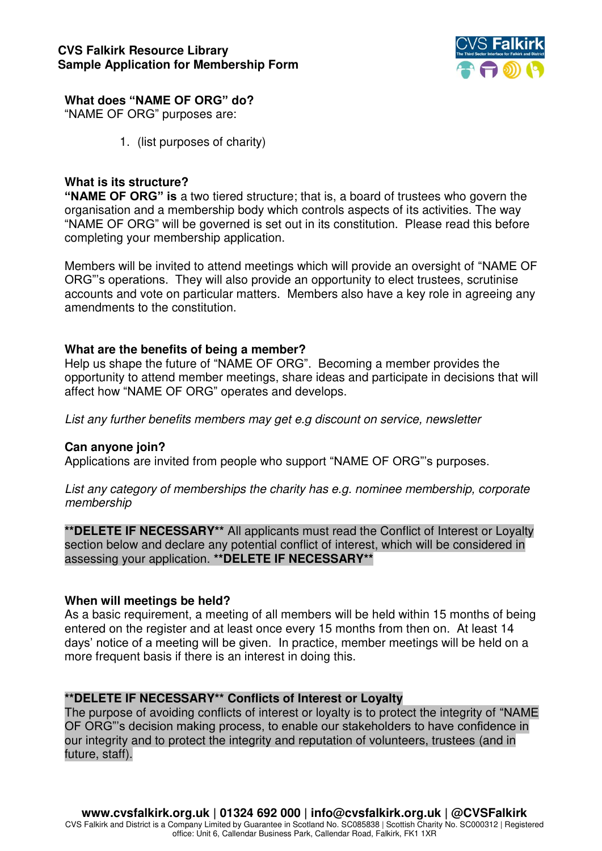

## **What does "NAME OF ORG" do?**

"NAME OF ORG" purposes are:

1. (list purposes of charity)

# **What is its structure?**

**"NAME OF ORG" is** a two tiered structure; that is, a board of trustees who govern the organisation and a membership body which controls aspects of its activities. The way "NAME OF ORG" will be governed is set out in its constitution. Please read this before completing your membership application.

Members will be invited to attend meetings which will provide an oversight of "NAME OF ORG"'s operations. They will also provide an opportunity to elect trustees, scrutinise accounts and vote on particular matters. Members also have a key role in agreeing any amendments to the constitution.

## **What are the benefits of being a member?**

Help us shape the future of "NAME OF ORG". Becoming a member provides the opportunity to attend member meetings, share ideas and participate in decisions that will affect how "NAME OF ORG" operates and develops.

*List any further benefits members may get e.g discount on service, newsletter* 

### **Can anyone join?**

Applications are invited from people who support "NAME OF ORG"'s purposes.

*List any category of memberships the charity has e.g. nominee membership, corporate membership* 

**\*\*DELETE IF NECESSARY\*\*** All applicants must read the Conflict of Interest or Loyalty section below and declare any potential conflict of interest, which will be considered in assessing your application. **\*\*DELETE IF NECESSARY\*\***

### **When will meetings be held?**

As a basic requirement, a meeting of all members will be held within 15 months of being entered on the register and at least once every 15 months from then on. At least 14 days' notice of a meeting will be given. In practice, member meetings will be held on a more frequent basis if there is an interest in doing this.

# **\*\*DELETE IF NECESSARY\*\* Conflicts of Interest or Loyalty**

The purpose of avoiding conflicts of interest or loyalty is to protect the integrity of "NAME OF ORG"'s decision making process, to enable our stakeholders to have confidence in our integrity and to protect the integrity and reputation of volunteers, trustees (and in future, staff).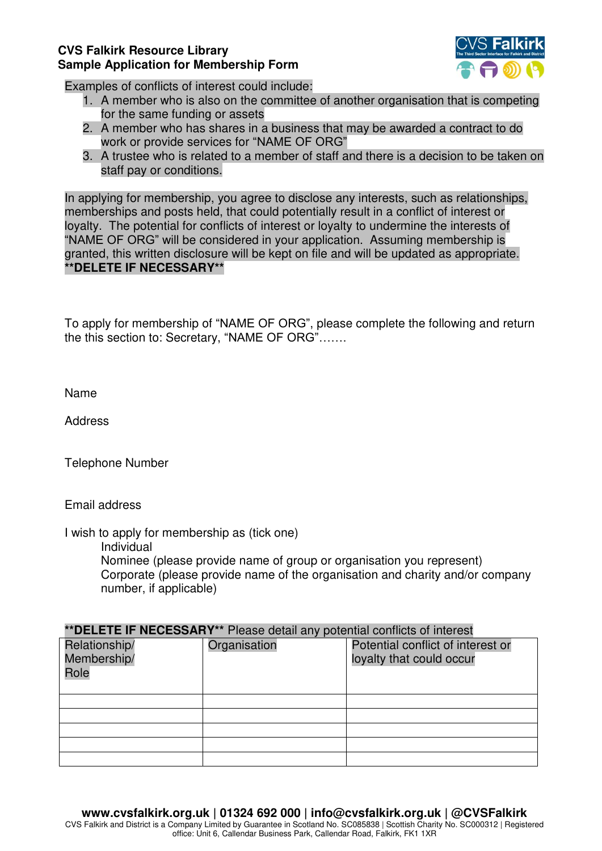### **CVS Falkirk Resource Library Sample Application for Membership Form**



Examples of conflicts of interest could include:

- 1. A member who is also on the committee of another organisation that is competing for the same funding or assets
- 2. A member who has shares in a business that may be awarded a contract to do work or provide services for "NAME OF ORG"
- 3. A trustee who is related to a member of staff and there is a decision to be taken on staff pay or conditions.

In applying for membership, you agree to disclose any interests, such as relationships, memberships and posts held, that could potentially result in a conflict of interest or loyalty. The potential for conflicts of interest or loyalty to undermine the interests of "NAME OF ORG" will be considered in your application. Assuming membership is granted, this written disclosure will be kept on file and will be updated as appropriate. **\*\*DELETE IF NECESSARY\*\*** 

To apply for membership of "NAME OF ORG", please complete the following and return the this section to: Secretary, "NAME OF ORG"…….

Name

Address

Telephone Number

Email address

I wish to apply for membership as (tick one)

Individual

 Nominee (please provide name of group or organisation you represent) Corporate (please provide name of the organisation and charity and/or company number, if applicable)

| **DELETE IF NECESSARY** Please detail any potential conflicts of interest |              |                                                               |
|---------------------------------------------------------------------------|--------------|---------------------------------------------------------------|
| Relationship/<br>Membership/<br>Role                                      | Organisation | Potential conflict of interest or<br>loyalty that could occur |
|                                                                           |              |                                                               |
|                                                                           |              |                                                               |
|                                                                           |              |                                                               |
|                                                                           |              |                                                               |
|                                                                           |              |                                                               |

CVS Falkirk and District is a Company Limited by Guarantee in Scotland No. SC085838 | Scottish Charity No. SC000312 | Registered office: Unit 6, Callendar Business Park, Callendar Road, Falkirk, FK1 1XR